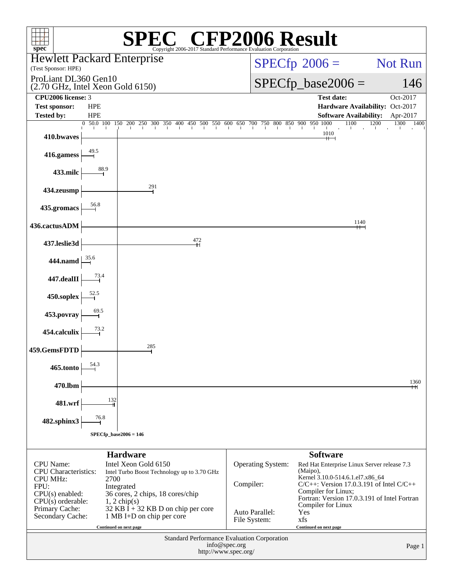| $\mathbb{C}^{\circledast}$ CFP2006 Result<br>$spec^*$<br>Copyright 2006-2017 Standard Performance Evaluation Corporation |            |                                                                                                                                                               |                                       |                          |                                                                                                                                                                                                                     |                                                          |  |  |
|--------------------------------------------------------------------------------------------------------------------------|------------|---------------------------------------------------------------------------------------------------------------------------------------------------------------|---------------------------------------|--------------------------|---------------------------------------------------------------------------------------------------------------------------------------------------------------------------------------------------------------------|----------------------------------------------------------|--|--|
| <b>Hewlett Packard Enterprise</b>                                                                                        |            |                                                                                                                                                               |                                       |                          | $SPECfp^{\circ}2006 =$                                                                                                                                                                                              | <b>Not Run</b>                                           |  |  |
| (Test Sponsor: HPE)<br>ProLiant DL360 Gen10                                                                              |            |                                                                                                                                                               |                                       |                          |                                                                                                                                                                                                                     |                                                          |  |  |
| (2.70 GHz, Intel Xeon Gold 6150)<br>CPU2006 license: 3                                                                   |            |                                                                                                                                                               |                                       |                          | $SPECfp\_base2006 =$                                                                                                                                                                                                | 146<br>Oct-2017                                          |  |  |
| <b>Test sponsor:</b>                                                                                                     | <b>HPE</b> |                                                                                                                                                               |                                       |                          | <b>Test date:</b><br>Hardware Availability: Oct-2017                                                                                                                                                                |                                                          |  |  |
| <b>Tested by:</b>                                                                                                        | <b>HPE</b> |                                                                                                                                                               |                                       |                          | <b>Software Availability:</b>                                                                                                                                                                                       | Apr-2017                                                 |  |  |
| 410.bwaves                                                                                                               |            | $\begin{bmatrix} 0 & 50 & 0 & 100 & 150 & 200 & 250 & 300 & 350 & 400 & 450 & 500 & 550 & 600 & 650 & 700 & 750 & 800 & 850 & 900 & 950 & 1000 \end{bmatrix}$ |                                       |                          | 1100<br>1010<br>$+$ $-$                                                                                                                                                                                             | 1200<br>1300<br>1400<br>$\blacksquare$<br>$\blacksquare$ |  |  |
| 416.gamess                                                                                                               | 49.5       |                                                                                                                                                               |                                       |                          |                                                                                                                                                                                                                     |                                                          |  |  |
| 433.milc                                                                                                                 | 88.9       |                                                                                                                                                               |                                       |                          |                                                                                                                                                                                                                     |                                                          |  |  |
| 434.zeusmp                                                                                                               |            | 291                                                                                                                                                           |                                       |                          |                                                                                                                                                                                                                     |                                                          |  |  |
| 435.gromacs                                                                                                              | 56.8       |                                                                                                                                                               |                                       |                          |                                                                                                                                                                                                                     |                                                          |  |  |
| 436.cactusADM                                                                                                            |            |                                                                                                                                                               |                                       |                          | 1140<br>┿┿═┥                                                                                                                                                                                                        |                                                          |  |  |
| 437.leslie3d                                                                                                             |            | 472<br>$\mathbf{+}$                                                                                                                                           |                                       |                          |                                                                                                                                                                                                                     |                                                          |  |  |
| 444.namd                                                                                                                 | 35.6       |                                                                                                                                                               |                                       |                          |                                                                                                                                                                                                                     |                                                          |  |  |
| 447.dealII                                                                                                               | 73.4       |                                                                                                                                                               |                                       |                          |                                                                                                                                                                                                                     |                                                          |  |  |
| 450.soplex                                                                                                               | 52.5       |                                                                                                                                                               |                                       |                          |                                                                                                                                                                                                                     |                                                          |  |  |
| 453.povray                                                                                                               | 69.5       |                                                                                                                                                               |                                       |                          |                                                                                                                                                                                                                     |                                                          |  |  |
| 454.calculix                                                                                                             | 73.2       | 285                                                                                                                                                           |                                       |                          |                                                                                                                                                                                                                     |                                                          |  |  |
| 459.GemsFDTD                                                                                                             | 54.3       |                                                                                                                                                               |                                       |                          |                                                                                                                                                                                                                     |                                                          |  |  |
| 465.tonto                                                                                                                |            |                                                                                                                                                               |                                       |                          |                                                                                                                                                                                                                     | 1360                                                     |  |  |
| 470.lbm                                                                                                                  | 132        |                                                                                                                                                               |                                       |                          |                                                                                                                                                                                                                     | ┿┿                                                       |  |  |
| 481.wrf<br>482.sphinx3                                                                                                   | 76.8       |                                                                                                                                                               |                                       |                          |                                                                                                                                                                                                                     |                                                          |  |  |
|                                                                                                                          |            | $SPECfp\_base2006 = 146$                                                                                                                                      |                                       |                          |                                                                                                                                                                                                                     |                                                          |  |  |
|                                                                                                                          |            | <b>Hardware</b>                                                                                                                                               |                                       |                          | <b>Software</b>                                                                                                                                                                                                     |                                                          |  |  |
| <b>CPU</b> Name:<br><b>CPU</b> Characteristics:<br><b>CPU MHz:</b><br>FPU:<br>$CPU(s)$ enabled:<br>$CPU(s)$ orderable:   | 2700       | Intel Xeon Gold 6150<br>Intel Turbo Boost Technology up to 3.70 GHz<br>Integrated<br>36 cores, 2 chips, 18 cores/chip<br>$1, 2$ chip(s)                       | Compiler:                             | <b>Operating System:</b> | Red Hat Enterprise Linux Server release 7.3<br>(Maipo),<br>Kernel 3.10.0-514.6.1.el7.x86_64<br>$C/C++$ : Version 17.0.3.191 of Intel $C/C++$<br>Compiler for Linux;<br>Fortran: Version 17.0.3.191 of Intel Fortran |                                                          |  |  |
| Primary Cache:<br>Secondary Cache:                                                                                       |            | $32$ KB I + 32 KB D on chip per core<br>1 MB I+D on chip per core                                                                                             | Auto Parallel:<br>File System:        |                          | Compiler for Linux<br>Yes<br>xfs                                                                                                                                                                                    |                                                          |  |  |
|                                                                                                                          |            | Continued on next page                                                                                                                                        |                                       |                          | Continued on next page                                                                                                                                                                                              |                                                          |  |  |
|                                                                                                                          |            | Standard Performance Evaluation Corporation                                                                                                                   | info@spec.org<br>http://www.spec.org/ |                          |                                                                                                                                                                                                                     | Page 1                                                   |  |  |
|                                                                                                                          |            |                                                                                                                                                               |                                       |                          |                                                                                                                                                                                                                     |                                                          |  |  |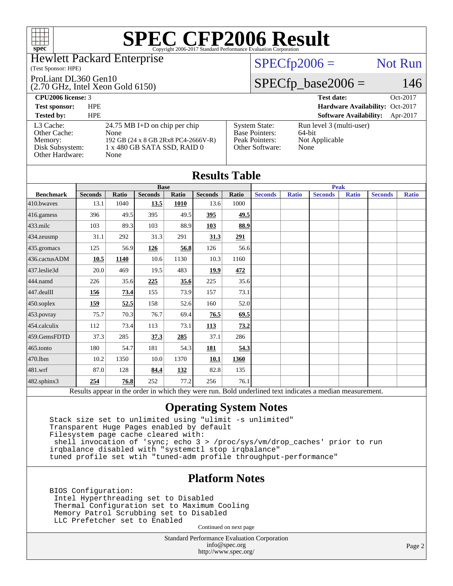### Hewlett Packard Enterprise

### (Test Sponsor: HPE)

ProLiant DL360 Gen10

(2.70 GHz, Intel Xeon Gold 6150)

## $SPECfp2006 =$  Not Run

# $SPECfp\_base2006 = 146$

| <b>CPU2006 license: 3</b>                                                  |                                                                                                                         |                                                                                    | <b>Test date:</b><br>Oct-2017                                |
|----------------------------------------------------------------------------|-------------------------------------------------------------------------------------------------------------------------|------------------------------------------------------------------------------------|--------------------------------------------------------------|
| <b>Test sponsor:</b>                                                       | <b>HPE</b>                                                                                                              |                                                                                    | Hardware Availability: Oct-2017                              |
| <b>Tested by:</b>                                                          | <b>HPE</b>                                                                                                              |                                                                                    | <b>Software Availability:</b><br>Apr-2017                    |
| L3 Cache:<br>Other Cache:<br>Memory:<br>Disk Subsystem:<br>Other Hardware: | $24.75$ MB I+D on chip per chip<br>None<br>192 GB (24 x 8 GB 2Rx8 PC4-2666V-R)<br>$1x480$ GB SATA SSD, RAID $0$<br>None | <b>System State:</b><br><b>Base Pointers:</b><br>Peak Pointers:<br>Other Software: | Run level 3 (multi-user)<br>64-bit<br>Not Applicable<br>None |

| <b>Results Table</b> |                |       |                |              |                |             |                |              |                                                                                                          |              |                |              |
|----------------------|----------------|-------|----------------|--------------|----------------|-------------|----------------|--------------|----------------------------------------------------------------------------------------------------------|--------------|----------------|--------------|
|                      | <b>Base</b>    |       |                |              |                | <b>Peak</b> |                |              |                                                                                                          |              |                |              |
| <b>Benchmark</b>     | <b>Seconds</b> | Ratio | <b>Seconds</b> | <b>Ratio</b> | <b>Seconds</b> | Ratio       | <b>Seconds</b> | <b>Ratio</b> | <b>Seconds</b>                                                                                           | <b>Ratio</b> | <b>Seconds</b> | <b>Ratio</b> |
| 410.bwayes           | 13.1           | 1040  | 13.5           | 1010         | 13.6           | 1000        |                |              |                                                                                                          |              |                |              |
| 416.gamess           | 396            | 49.5  | 395            | 49.5         | 395            | 49.5        |                |              |                                                                                                          |              |                |              |
| $433$ .milc          | 103            | 89.3  | 103            | 88.9         | 103            | 88.9        |                |              |                                                                                                          |              |                |              |
| $434$ .zeusmp        | 31.1           | 292   | 31.3           | 291          | 31.3           | 291         |                |              |                                                                                                          |              |                |              |
| 435.gromacs          | 125            | 56.9  | 126            | 56.8         | 126            | 56.6        |                |              |                                                                                                          |              |                |              |
| 436.cactusADM        | 10.5           | 1140  | 10.6           | 1130         | 10.3           | 1160        |                |              |                                                                                                          |              |                |              |
| 437.leslie3d         | 20.0           | 469   | 19.5           | 483          | 19.9           | 472         |                |              |                                                                                                          |              |                |              |
| 444.namd             | 226            | 35.6  | 225            | 35.6         | 225            | 35.6        |                |              |                                                                                                          |              |                |              |
| $447$ .dealII        | 156            | 73.4  | 155            | 73.9         | 157            | 73.1        |                |              |                                                                                                          |              |                |              |
| $450$ .soplex        | 159            | 52.5  | 158            | 52.6         | 160            | 52.0        |                |              |                                                                                                          |              |                |              |
| 453.povray           | 75.7           | 70.3  | 76.7           | 69.4         | 76.5           | 69.5        |                |              |                                                                                                          |              |                |              |
| $454$ .calculix      | 112            | 73.4  | 113            | 73.1         | 113            | 73.2        |                |              |                                                                                                          |              |                |              |
| 459.GemsFDTD         | 37.3           | 285   | 37.3           | 285          | 37.1           | 286         |                |              |                                                                                                          |              |                |              |
| $465$ .tonto         | 180            | 54.7  | 181            | 54.3         | 181            | 54.3        |                |              |                                                                                                          |              |                |              |
| 470.1bm              | 10.2           | 1350  | 10.0           | 1370         | 10.1           | 1360        |                |              |                                                                                                          |              |                |              |
| $ 481$ .wrf          | 87.0           | 128   | 84.4           | 132          | 82.8           | 135         |                |              |                                                                                                          |              |                |              |
| 482.sphinx3          | 254            | 76.8  | 252            | 77.2         | 256            | 76.1        |                |              |                                                                                                          |              |                |              |
|                      |                |       |                |              |                |             |                |              | Results appear in the order in which they were run. Bold underlined text indicates a median measurement. |              |                |              |

## **[Operating System Notes](http://www.spec.org/auto/cpu2006/Docs/result-fields.html#OperatingSystemNotes)**

 Stack size set to unlimited using "ulimit -s unlimited" Transparent Huge Pages enabled by default Filesystem page cache cleared with: shell invocation of 'sync; echo 3 > /proc/sys/vm/drop\_caches' prior to run irqbalance disabled with "systemctl stop irqbalance" tuned profile set wtih "tuned-adm profile throughput-performance"

## **[Platform Notes](http://www.spec.org/auto/cpu2006/Docs/result-fields.html#PlatformNotes)**

 BIOS Configuration: Intel Hyperthreading set to Disabled Thermal Configuration set to Maximum Cooling Memory Patrol Scrubbing set to Disabled LLC Prefetcher set to Enabled

Continued on next page

Standard Performance Evaluation Corporation [info@spec.org](mailto:info@spec.org) <http://www.spec.org/>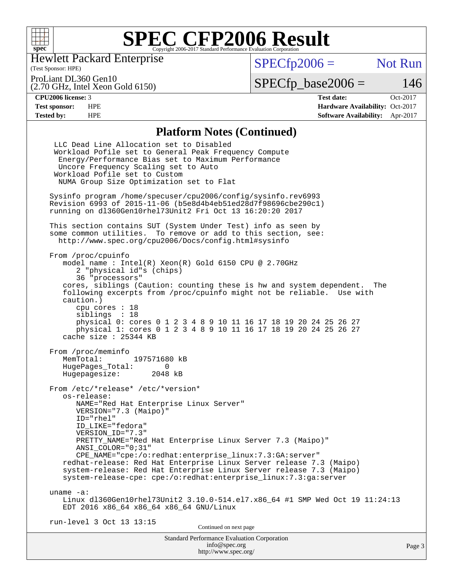

Hewlett Packard Enterprise

(Test Sponsor: HPE)

 $SPECfp2006 =$  Not Run

ProLiant DL360 Gen10

(2.70 GHz, Intel Xeon Gold 6150)

 $SPECTp\_base2006 = 146$ 

**[CPU2006 license:](http://www.spec.org/auto/cpu2006/Docs/result-fields.html#CPU2006license)** 3 **[Test date:](http://www.spec.org/auto/cpu2006/Docs/result-fields.html#Testdate)** Oct-2017 **[Test sponsor:](http://www.spec.org/auto/cpu2006/Docs/result-fields.html#Testsponsor)** HPE **[Hardware Availability:](http://www.spec.org/auto/cpu2006/Docs/result-fields.html#HardwareAvailability)** Oct-2017 **[Tested by:](http://www.spec.org/auto/cpu2006/Docs/result-fields.html#Testedby)** HPE **[Software Availability:](http://www.spec.org/auto/cpu2006/Docs/result-fields.html#SoftwareAvailability)** Apr-2017

## **[Platform Notes \(Continued\)](http://www.spec.org/auto/cpu2006/Docs/result-fields.html#PlatformNotes)**

| <b>Standard Performance Evaluation Corporation</b><br>info@spec.org                                                                                                                                                                                                                                                                                                                                                                                                                                                                      | Page 3 |
|------------------------------------------------------------------------------------------------------------------------------------------------------------------------------------------------------------------------------------------------------------------------------------------------------------------------------------------------------------------------------------------------------------------------------------------------------------------------------------------------------------------------------------------|--------|
| run-level 3 Oct 13 13:15<br>Continued on next page                                                                                                                                                                                                                                                                                                                                                                                                                                                                                       |        |
| uname $-a$ :<br>Linux dl360Gen10rhel73Unit2 3.10.0-514.el7.x86_64 #1 SMP Wed Oct 19 11:24:13<br>EDT 2016 x86_64 x86_64 x86_64 GNU/Linux                                                                                                                                                                                                                                                                                                                                                                                                  |        |
| From /etc/*release* /etc/*version*<br>os-release:<br>NAME="Red Hat Enterprise Linux Server"<br>VERSION="7.3 (Maipo)"<br>ID="rhel"<br>ID LIKE="fedora"<br>VERSION ID="7.3"<br>PRETTY_NAME="Red Hat Enterprise Linux Server 7.3 (Maipo)"<br>ANSI_COLOR="0;31"<br>CPE_NAME="cpe:/o:redhat:enterprise_linux:7.3:GA:server"<br>redhat-release: Red Hat Enterprise Linux Server release 7.3 (Maipo)<br>system-release: Red Hat Enterprise Linux Server release 7.3 (Maipo)<br>system-release-cpe: cpe:/o:redhat:enterprise_linux:7.3:ga:server |        |
| From /proc/meminfo<br>MemTotal:<br>197571680 kB<br>HugePages_Total:<br>0<br>Hugepagesize: 2048 kB                                                                                                                                                                                                                                                                                                                                                                                                                                        |        |
| From /proc/cpuinfo<br>model name : Intel(R) $Xeon(R)$ Gold 6150 CPU @ 2.70GHz<br>2 "physical id"s (chips)<br>36 "processors"<br>cores, siblings (Caution: counting these is hw and system dependent. The<br>following excerpts from /proc/cpuinfo might not be reliable. Use with<br>caution.)<br>cpu cores : 18<br>siblings : 18<br>physical 0: cores 0 1 2 3 4 8 9 10 11 16 17 18 19 20 24 25 26 27<br>physical 1: cores 0 1 2 3 4 8 9 10 11 16 17 18 19 20 24 25 26 27<br>cache size : 25344 KB                                       |        |
| This section contains SUT (System Under Test) info as seen by<br>some common utilities. To remove or add to this section, see:<br>http://www.spec.org/cpu2006/Docs/config.html#sysinfo                                                                                                                                                                                                                                                                                                                                                   |        |
| Sysinfo program /home/specuser/cpu2006/config/sysinfo.rev6993<br>Revision 6993 of 2015-11-06 (b5e8d4b4eb51ed28d7f98696cbe290c1)<br>running on d1360Gen10rhel73Unit2 Fri Oct 13 16:20:20 2017                                                                                                                                                                                                                                                                                                                                             |        |
| LLC Dead Line Allocation set to Disabled<br>Workload Pofile set to General Peak Frequency Compute<br>Energy/Performance Bias set to Maximum Performance<br>Uncore Frequency Scaling set to Auto<br>Workload Pofile set to Custom<br>NUMA Group Size Optimization set to Flat                                                                                                                                                                                                                                                             |        |

<http://www.spec.org/>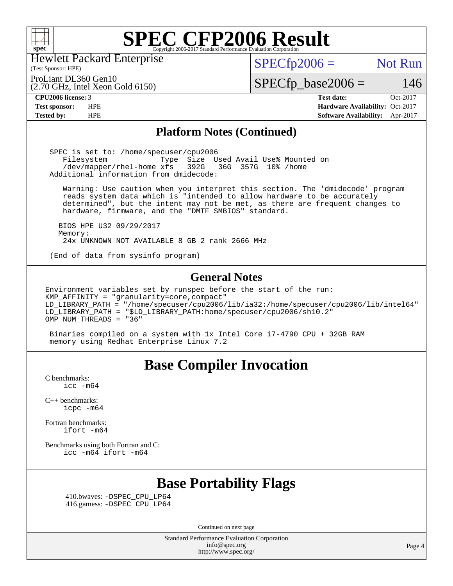

Hewlett Packard Enterprise

## $SPECTp2006 =$  Not Run

ProLiant DL360 Gen10

(2.70 GHz, Intel Xeon Gold 6150)

(Test Sponsor: HPE)

 $SPECfp\_base2006 = 146$ **[CPU2006 license:](http://www.spec.org/auto/cpu2006/Docs/result-fields.html#CPU2006license)** 3 **[Test date:](http://www.spec.org/auto/cpu2006/Docs/result-fields.html#Testdate)** Oct-2017

**[Test sponsor:](http://www.spec.org/auto/cpu2006/Docs/result-fields.html#Testsponsor)** HPE **[Hardware Availability:](http://www.spec.org/auto/cpu2006/Docs/result-fields.html#HardwareAvailability)** Oct-2017 **[Tested by:](http://www.spec.org/auto/cpu2006/Docs/result-fields.html#Testedby)** HPE **[Software Availability:](http://www.spec.org/auto/cpu2006/Docs/result-fields.html#SoftwareAvailability)** Apr-2017

### **[Platform Notes \(Continued\)](http://www.spec.org/auto/cpu2006/Docs/result-fields.html#PlatformNotes)**

 SPEC is set to: /home/specuser/cpu2006 Filesystem Type Size Used Avail Use% Mounted on<br>/dev/mapper/rhel-home xfs 392G 36G 357G 10% /home /dev/mapper/rhel-home xfs 392G Additional information from dmidecode:

 Warning: Use caution when you interpret this section. The 'dmidecode' program reads system data which is "intended to allow hardware to be accurately determined", but the intent may not be met, as there are frequent changes to hardware, firmware, and the "DMTF SMBIOS" standard.

 BIOS HPE U32 09/29/2017 Memory: 24x UNKNOWN NOT AVAILABLE 8 GB 2 rank 2666 MHz

(End of data from sysinfo program)

### **[General Notes](http://www.spec.org/auto/cpu2006/Docs/result-fields.html#GeneralNotes)**

Environment variables set by runspec before the start of the run: KMP\_AFFINITY = "granularity=core,compact" LD\_LIBRARY\_PATH = "/home/specuser/cpu2006/lib/ia32:/home/specuser/cpu2006/lib/intel64" LD\_LIBRARY\_PATH = "\$LD\_LIBRARY\_PATH:home/specuser/cpu2006/sh10.2" OMP\_NUM\_THREADS = "36"

 Binaries compiled on a system with 1x Intel Core i7-4790 CPU + 32GB RAM memory using Redhat Enterprise Linux 7.2

# **[Base Compiler Invocation](http://www.spec.org/auto/cpu2006/Docs/result-fields.html#BaseCompilerInvocation)**

[C benchmarks](http://www.spec.org/auto/cpu2006/Docs/result-fields.html#Cbenchmarks):  $\text{icc}$   $-\text{m64}$ 

[C++ benchmarks:](http://www.spec.org/auto/cpu2006/Docs/result-fields.html#CXXbenchmarks) [icpc -m64](http://www.spec.org/cpu2006/results/res2017q4/cpu2006-20171017-50342.flags.html#user_CXXbase_intel_icpc_64bit_fc66a5337ce925472a5c54ad6a0de310)

[Fortran benchmarks](http://www.spec.org/auto/cpu2006/Docs/result-fields.html#Fortranbenchmarks): [ifort -m64](http://www.spec.org/cpu2006/results/res2017q4/cpu2006-20171017-50342.flags.html#user_FCbase_intel_ifort_64bit_ee9d0fb25645d0210d97eb0527dcc06e)

[Benchmarks using both Fortran and C](http://www.spec.org/auto/cpu2006/Docs/result-fields.html#BenchmarksusingbothFortranandC): [icc -m64](http://www.spec.org/cpu2006/results/res2017q4/cpu2006-20171017-50342.flags.html#user_CC_FCbase_intel_icc_64bit_bda6cc9af1fdbb0edc3795bac97ada53) [ifort -m64](http://www.spec.org/cpu2006/results/res2017q4/cpu2006-20171017-50342.flags.html#user_CC_FCbase_intel_ifort_64bit_ee9d0fb25645d0210d97eb0527dcc06e)

# **[Base Portability Flags](http://www.spec.org/auto/cpu2006/Docs/result-fields.html#BasePortabilityFlags)**

 410.bwaves: [-DSPEC\\_CPU\\_LP64](http://www.spec.org/cpu2006/results/res2017q4/cpu2006-20171017-50342.flags.html#suite_basePORTABILITY410_bwaves_DSPEC_CPU_LP64) 416.gamess: [-DSPEC\\_CPU\\_LP64](http://www.spec.org/cpu2006/results/res2017q4/cpu2006-20171017-50342.flags.html#suite_basePORTABILITY416_gamess_DSPEC_CPU_LP64)

Continued on next page

Standard Performance Evaluation Corporation [info@spec.org](mailto:info@spec.org) <http://www.spec.org/>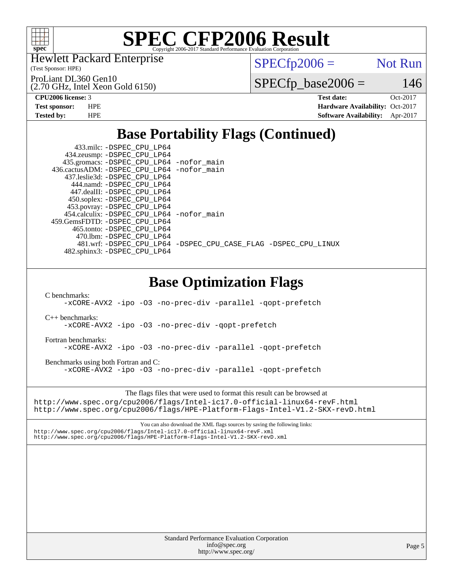

Hewlett Packard Enterprise

(Test Sponsor: HPE)

ProLiant DL360 Gen10

 $SPECfp2006 =$  Not Run

 $SPECfp\_base2006 = 146$ 

# (2.70 GHz, Intel Xeon Gold 6150)

**[CPU2006 license:](http://www.spec.org/auto/cpu2006/Docs/result-fields.html#CPU2006license)** 3 **[Test date:](http://www.spec.org/auto/cpu2006/Docs/result-fields.html#Testdate)** Oct-2017 **[Test sponsor:](http://www.spec.org/auto/cpu2006/Docs/result-fields.html#Testsponsor)** HPE **[Hardware Availability:](http://www.spec.org/auto/cpu2006/Docs/result-fields.html#HardwareAvailability)** Oct-2017 **[Tested by:](http://www.spec.org/auto/cpu2006/Docs/result-fields.html#Testedby)** HPE **[Software Availability:](http://www.spec.org/auto/cpu2006/Docs/result-fields.html#SoftwareAvailability)** Apr-2017

# **[Base Portability Flags \(Continued\)](http://www.spec.org/auto/cpu2006/Docs/result-fields.html#BasePortabilityFlags)**

| 433.milc: -DSPEC_CPU_LP64                                                     |
|-------------------------------------------------------------------------------|
| 434.zeusmp: -DSPEC_CPU_LP64                                                   |
| 435.gromacs: -DSPEC_CPU_LP64 -nofor_main                                      |
| 436.cactusADM: -DSPEC_CPU_LP64 -nofor_main                                    |
| 437.leslie3d: -DSPEC_CPU_LP64                                                 |
| 444.namd: - DSPEC_CPU_LP64                                                    |
| 447.dealII: -DSPEC_CPU_LP64<br>450.soplex: -DSPEC_CPU_LP64                    |
| 453.povray: -DSPEC_CPU_LP64                                                   |
| 454.calculix: -DSPEC_CPU_LP64 -nofor_main                                     |
| 459.GemsFDTD: - DSPEC_CPU_LP64                                                |
| 465.tonto: - DSPEC_CPU_LP64                                                   |
| 470.1bm: - DSPEC_CPU_LP64                                                     |
| 481.wrf: -DSPEC_CPU_LP64 -DSPEC_CPU_CASE_FLAG -DSPEC_CPU_LINUX                |
| 482.sphinx3: -DSPEC_CPU_LP64                                                  |
|                                                                               |
|                                                                               |
|                                                                               |
| <b>Base Optimization Flags</b>                                                |
|                                                                               |
| C benchmarks:<br>-xCORE-AVX2 -ipo -03 -no-prec-div -parallel -qopt-prefetch   |
|                                                                               |
| $C_{++}$ benchmarks:                                                          |
| -xCORE-AVX2 -ipo -03 -no-prec-div -qopt-prefetch                              |
|                                                                               |
| Fortran benchmarks:                                                           |
| -xCORE-AVX2 -ipo -03 -no-prec-div -parallel -qopt-prefetch                    |
|                                                                               |
| Benchmarks using both Fortran and C:                                          |
| -xCORE-AVX2 -ipo -03 -no-prec-div -parallel -qopt-prefetch                    |
|                                                                               |
|                                                                               |
| The flags files that were used to format this result can be browsed at        |
| http://www.spec.org/cpu2006/flags/Intel-ic17.0-official-linux64-revF.html     |
| http://www.spec.org/cpu2006/flags/HPE-Platform-Flags-Intel-V1.2-SKX-revD.html |
|                                                                               |
| You can also download the XML flags sources by saving the following links:    |
| http://www.spec.org/cpu2006/flags/Intel-ic17.0-official-linux64-revF.xml      |
| http://www.spec.org/cpu2006/flags/HPE-Platform-Flags-Intel-V1.2-SKX-revD.xml  |
|                                                                               |
|                                                                               |
|                                                                               |
|                                                                               |
|                                                                               |
|                                                                               |
|                                                                               |
|                                                                               |
|                                                                               |
|                                                                               |
|                                                                               |
|                                                                               |